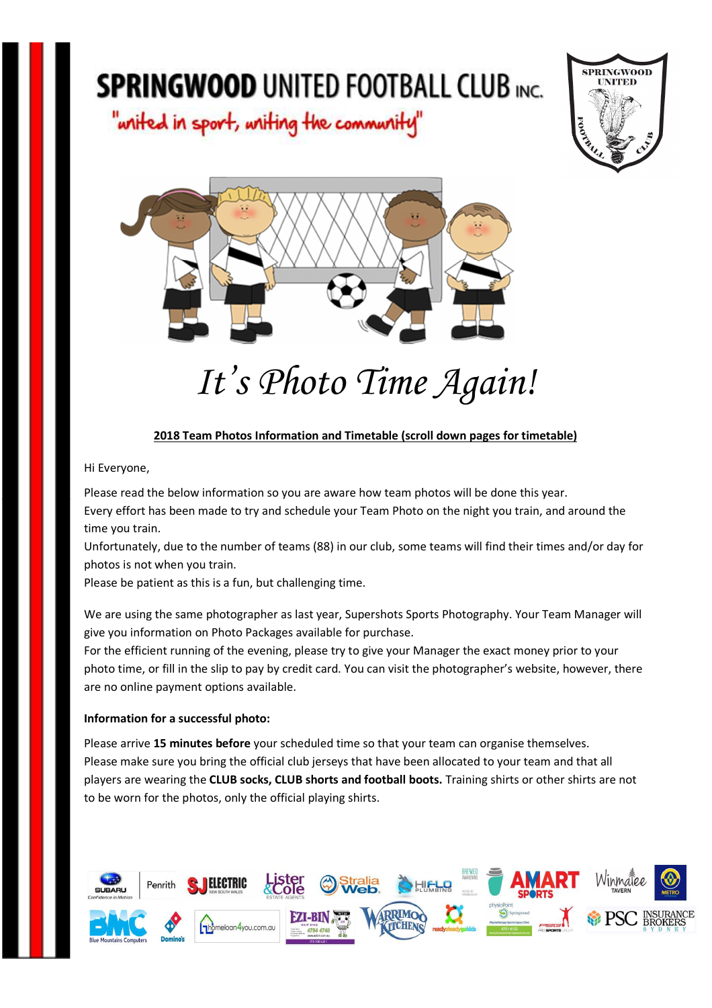"writed in sport, writing the community"





# *It's Photo Time Again!*

#### **2018 Team Photos Information and Timetable (scroll down pages for timetable)**

Hi Everyone,

Please read the below information so you are aware how team photos will be done this year. Every effort has been made to try and schedule your Team Photo on the night you train, and around the time you train.

Unfortunately, due to the number of teams (88) in our club, some teams will find their times and/or day for photos is not when you train.

Please be patient as this is a fun, but challenging time.

We are using the same photographer as last year, Supershots Sports Photography. Your Team Manager will give you information on Photo Packages available for purchase.

For the efficient running of the evening, please try to give your Manager the exact money prior to your photo time, or fill in the slip to pay by credit card. You can visit the photographer's website, however, there are no online payment options available.

#### **Information for a successful photo:**

Please arrive **15 minutes before** your scheduled time so that your team can organise themselves. Please make sure you bring the official club jerseys that have been allocated to your team and that all players are wearing the **CLUB socks, CLUB shorts and football boots.** Training shirts or other shirts are not to be worn for the photos, only the official playing shirts.

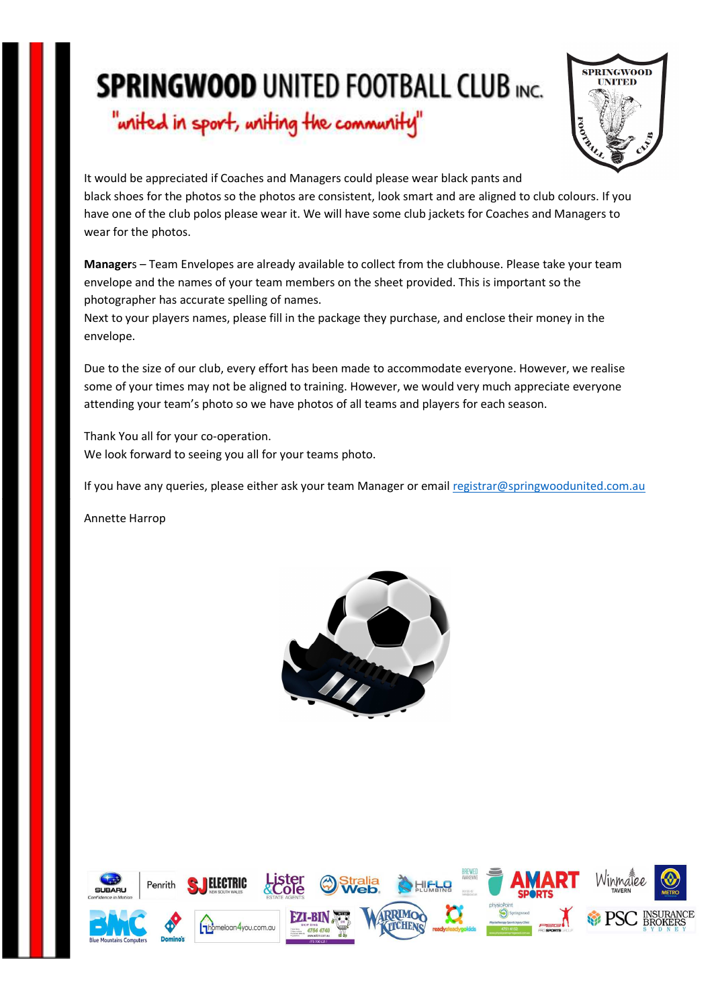"writed in sport, writing the community"



It would be appreciated if Coaches and Managers could please wear black pants and black shoes for the photos so the photos are consistent, look smart and are aligned to club colours. If you have one of the club polos please wear it. We will have some club jackets for Coaches and Managers to wear for the photos.

**Manager**s – Team Envelopes are already available to collect from the clubhouse. Please take your team envelope and the names of your team members on the sheet provided. This is important so the photographer has accurate spelling of names.

Next to your players names, please fill in the package they purchase, and enclose their money in the envelope.

Due to the size of our club, every effort has been made to accommodate everyone. However, we realise some of your times may not be aligned to training. However, we would very much appreciate everyone attending your team's photo so we have photos of all teams and players for each season.

Thank You all for your co-operation. We look forward to seeing you all for your teams photo.

If you have any queries, please either ask your team Manager or email registrar@springwoodunited.com.au

Annette Harrop



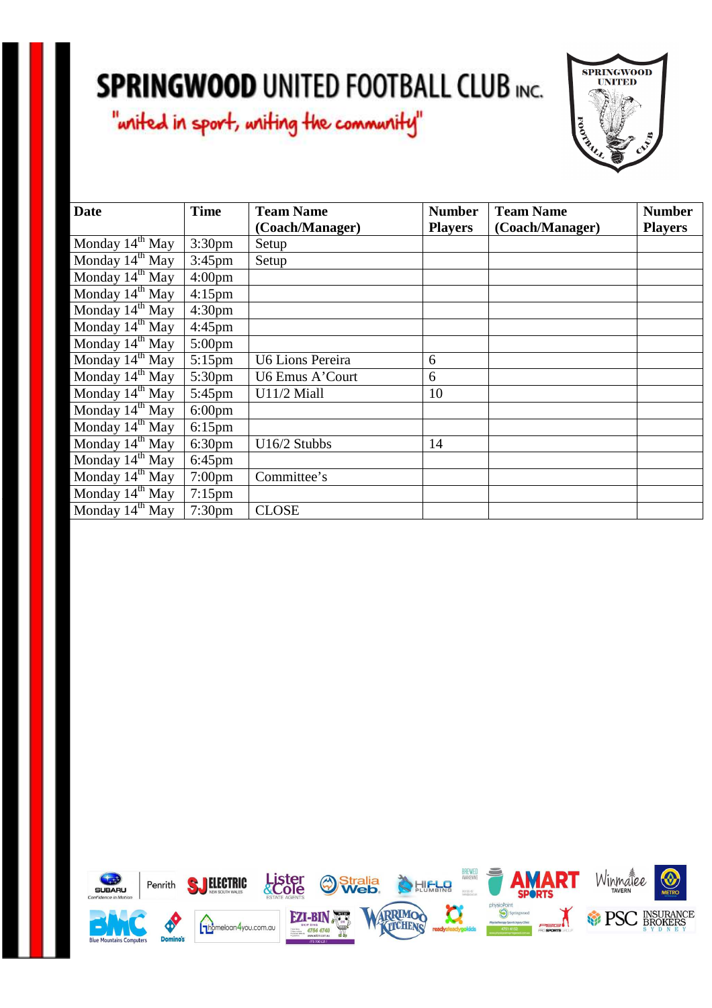

| <b>Date</b>          | <b>Time</b>        | <b>Team Name</b>        | <b>Number</b>  | <b>Team Name</b> | <b>Number</b>  |
|----------------------|--------------------|-------------------------|----------------|------------------|----------------|
|                      |                    | (Coach/Manager)         | <b>Players</b> | (Coach/Manager)  | <b>Players</b> |
| Monday $14th$ May    | 3:30 <sub>pm</sub> | Setup                   |                |                  |                |
| Monday $14^{th}$ May | $3:45$ pm          | Setup                   |                |                  |                |
| Monday $14^{th}$ May | 4:00 <sub>pm</sub> |                         |                |                  |                |
| Monday $14^{th}$ May | $4:15$ pm          |                         |                |                  |                |
| Monday $14th$ May    | 4:30 <sub>pm</sub> |                         |                |                  |                |
| Monday $14th$ May    | $4:45$ pm          |                         |                |                  |                |
| Monday $14^{th}$ May | $5:00$ pm          |                         |                |                  |                |
| Monday $14th$ May    | $5:15$ pm          | <b>U6 Lions Pereira</b> | 6              |                  |                |
| Monday $14^{th}$ May | 5:30 <sub>pm</sub> | U6 Emus A'Court         | 6              |                  |                |
| Monday $14^{th}$ May | $5:45$ pm          | U11/2 Miall             | 10             |                  |                |
| Monday $14^{th}$ May | $6:00 \text{pm}$   |                         |                |                  |                |
| Monday $14^{th}$ May | $6:15$ pm          |                         |                |                  |                |
| Monday $14^{th}$ May | 6:30 <sub>pm</sub> | U16/2 Stubbs            | 14             |                  |                |
| Monday $14th$ May    | $6:45$ pm          |                         |                |                  |                |
| Monday $14^{th}$ May | $7:00$ pm          | Committee's             |                |                  |                |
| Monday $14th$ May    | $7:15$ pm          |                         |                |                  |                |
| Monday $14^{th}$ May | 7:30 <sub>pm</sub> | <b>CLOSE</b>            |                |                  |                |

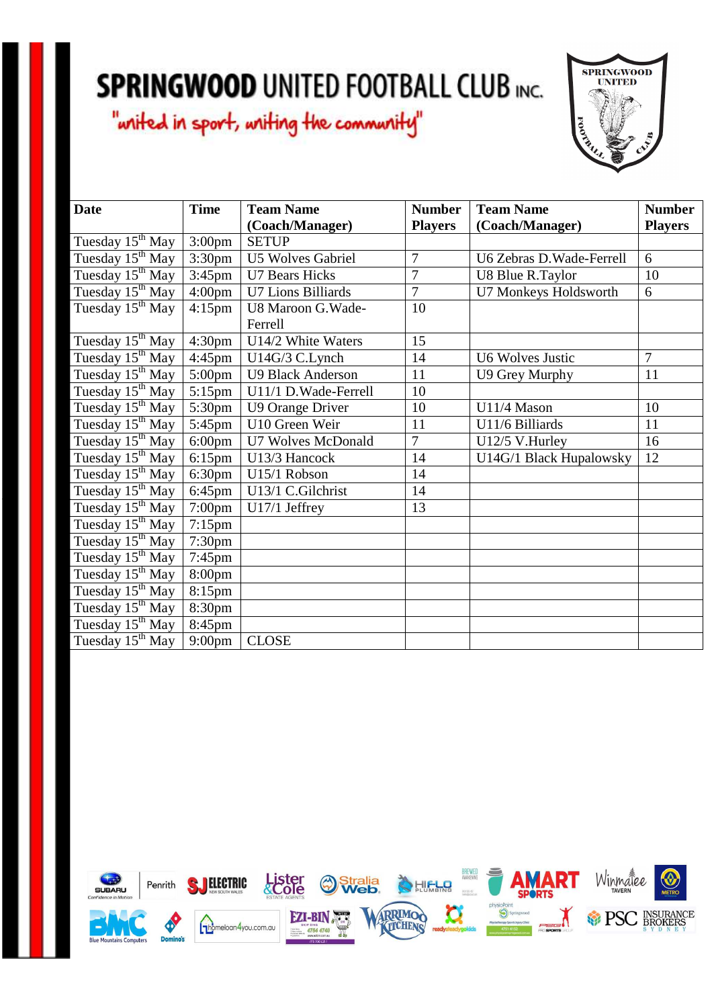

| <b>Date</b>                  | <b>Time</b>          | <b>Team Name</b>         | <b>Number</b>  | <b>Team Name</b>          | <b>Number</b>  |
|------------------------------|----------------------|--------------------------|----------------|---------------------------|----------------|
|                              |                      | (Coach/Manager)          | <b>Players</b> | (Coach/Manager)           | <b>Players</b> |
| Tuesday 15 <sup>th</sup> May | 3:00 <sub>pm</sub>   | <b>SETUP</b>             |                |                           |                |
| Tuesday 15 <sup>th</sup> May | 3:30pm               | <b>U5 Wolves Gabriel</b> | $\overline{7}$ | U6 Zebras D. Wade-Ferrell | 6              |
| Tuesday 15 <sup>th</sup> May | $3:45$ pm            | <b>U7 Bears Hicks</b>    | $\overline{7}$ | U8 Blue R.Taylor          | 10             |
| Tuesday $15^{th}$ May        | 4:00 <sub>pm</sub>   | U7 Lions Billiards       | 7              | U7 Monkeys Holdsworth     | 6              |
| Tuesday 15 <sup>th</sup> May | $4:15$ pm            | U8 Maroon G. Wade-       | 10             |                           |                |
|                              |                      | Ferrell                  |                |                           |                |
| Tuesday 15 <sup>th</sup> May | 4:30 <sub>pm</sub>   | U14/2 White Waters       | 15             |                           |                |
| Tuesday 15 <sup>th</sup> May | $4:45$ pm            | U14G/3 C.Lynch           | 14             | <b>U6 Wolves Justic</b>   | 7              |
| Tuesday 15 <sup>th</sup> May | $5:00 \text{pm}$     | <b>U9 Black Anderson</b> | 11             | U9 Grey Murphy            | 11             |
| Tuesday 15 <sup>th</sup> May | $5:15$ pm            | U11/1 D. Wade-Ferrell    | 10             |                           |                |
| Tuesday 15 <sup>th</sup> May | $\overline{5}$ :30pm | U9 Orange Driver         | 10             | U11/4 Mason               | 10             |
| Tuesday 15 <sup>th</sup> May | $5:45$ pm            | U10 Green Weir           | 11             | U11/6 Billiards           | 11             |
| Tuesday 15 <sup>th</sup> May | $6:00$ pm            | U7 Wolves McDonald       | 7              | U12/5 V.Hurley            | 16             |
| Tuesday 15 <sup>th</sup> May | $6:15$ pm            | U13/3 Hancock            | 14             | U14G/1 Black Hupalowsky   | 12             |
| Tuesday 15 <sup>th</sup> May | 6:30 <sub>pm</sub>   | U15/1 Robson             | 14             |                           |                |
| Tuesday 15 <sup>th</sup> May | $6:45$ pm            | U13/1 C.Gilchrist        | 14             |                           |                |
| Tuesday 15 <sup>th</sup> May | $7:00$ pm            | U17/1 Jeffrey            | 13             |                           |                |
| Tuesday 15 <sup>th</sup> May | $7:15$ pm            |                          |                |                           |                |
| Tuesday 15 <sup>th</sup> May | 7:30 <sub>pm</sub>   |                          |                |                           |                |
| Tuesday 15 <sup>th</sup> May | $7:45$ pm            |                          |                |                           |                |
| Tuesday 15 <sup>th</sup> May | 8:00 <sub>pm</sub>   |                          |                |                           |                |
| Tuesday 15 <sup>th</sup> May | 8:15pm               |                          |                |                           |                |
| Tuesday 15 <sup>th</sup> May | 8:30pm               |                          |                |                           |                |
| Tuesday 15 <sup>th</sup> May | 8:45pm               |                          |                |                           |                |
| Tuesday 15 <sup>th</sup> May | 9:00 <sub>pm</sub>   | <b>CLOSE</b>             |                |                           |                |

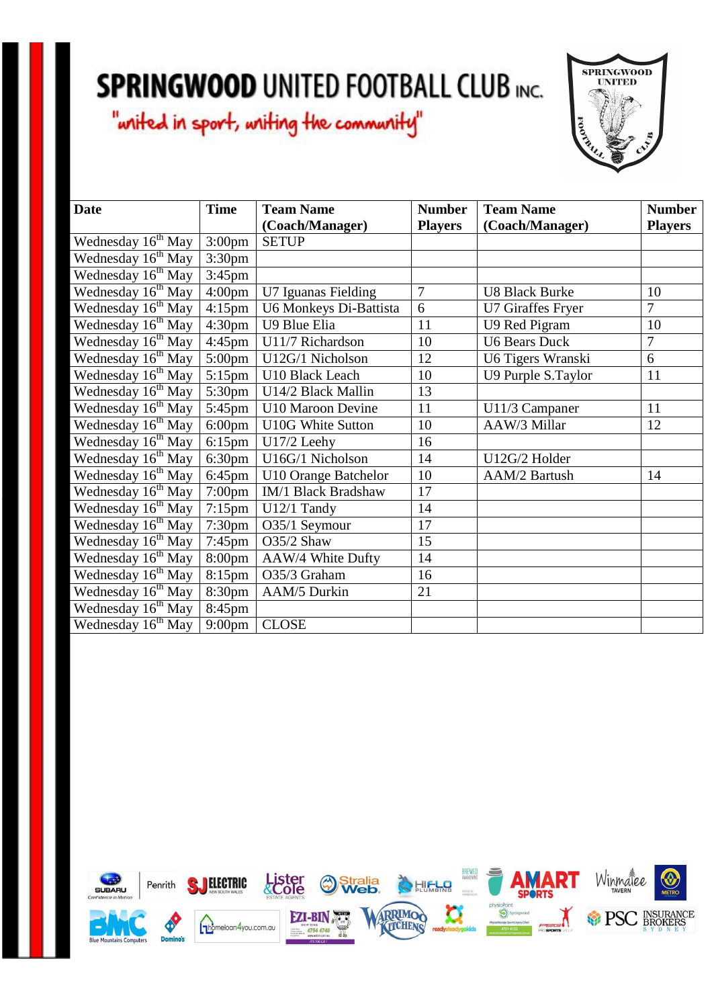

| <b>Date</b>                    | <b>Time</b>        | <b>Team Name</b>         | <b>Number</b>  | <b>Team Name</b>         | <b>Number</b>  |
|--------------------------------|--------------------|--------------------------|----------------|--------------------------|----------------|
|                                |                    | (Coach/Manager)          | <b>Players</b> | (Coach/Manager)          | <b>Players</b> |
| Wednesday 16 <sup>th</sup> May | $3:00 \text{pm}$   | <b>SETUP</b>             |                |                          |                |
| Wednesday 16 <sup>th</sup> May | 3:30 <sub>pm</sub> |                          |                |                          |                |
| Wednesday 16 <sup>th</sup> May | $3:45$ pm          |                          |                |                          |                |
| Wednesday 16 <sup>th</sup> May | $4:00 \text{pm}$   | U7 Iguanas Fielding      | 7              | <b>U8 Black Burke</b>    | 10             |
| Wednesday 16 <sup>th</sup> May | $4:15 \text{pm}$   | U6 Monkeys Di-Battista   | 6              | <b>U7 Giraffes Fryer</b> | 7              |
| Wednesday 16 <sup>th</sup> May | 4:30 <sub>pm</sub> | U9 Blue Elia             | 11             | U9 Red Pigram            | 10             |
| Wednesday 16 <sup>th</sup> May | $4:45$ pm          | U11/7 Richardson         | 10             | <b>U6 Bears Duck</b>     | 7              |
| Wednesday 16 <sup>th</sup> May | $5:00 \text{pm}$   | U12G/1 Nicholson         | 12             | U6 Tigers Wranski        | 6              |
| Wednesday 16 <sup>th</sup> May | $5:15$ pm          | U10 Black Leach          | 10             | U9 Purple S.Taylor       | 11             |
| Wednesday 16 <sup>th</sup> May | 5:30pm             | U14/2 Black Mallin       | 13             |                          |                |
| Wednesday $16^{th}$ May        | 5:45pm             | U10 Maroon Devine        | 11             | U11/3 Campaner           | 11             |
| Wednesday 16 <sup>th</sup> May | $6:00 \text{pm}$   | <b>U10G White Sutton</b> | 10             | AAW/3 Millar             | 12             |
| Wednesday 16 <sup>th</sup> May | $6:15$ pm          | U17/2 Leehy              | 16             |                          |                |
| Wednesday 16 <sup>th</sup> May | $6:30 \text{pm}$   | U16G/1 Nicholson         | 14             | U12G/2 Holder            |                |
| Wednesday 16 <sup>th</sup> May | 6:45pm             | U10 Orange Batchelor     | 10             | AAM/2 Bartush            | 14             |
| Wednesday 16 <sup>th</sup> May | $7:00 \text{pm}$   | IM/1 Black Bradshaw      | 17             |                          |                |
| Wednesday 16 <sup>th</sup> May | $7:15$ pm          | U12/1 Tandy              | 14             |                          |                |
| Wednesday 16 <sup>th</sup> May | $7:30 \text{pm}$   | O35/1 Seymour            | 17             |                          |                |
| Wednesday 16 <sup>th</sup> May | $7:45$ pm          | O35/2 Shaw               | 15             |                          |                |
| Wednesday 16 <sup>th</sup> May | $8:00 \text{pm}$   | AAW/4 White Dufty        | 14             |                          |                |
| Wednesday 16 <sup>th</sup> May | $8:15$ pm          | O35/3 Graham             | 16             |                          |                |
| Wednesday 16 <sup>th</sup> May | 8:30pm             | AAM/5 Durkin             | 21             |                          |                |
| Wednesday 16 <sup>th</sup> May | 8:45pm             |                          |                |                          |                |
| Wednesday 16 <sup>th</sup> May | $9:00 \text{pm}$   | <b>CLOSE</b>             |                |                          |                |

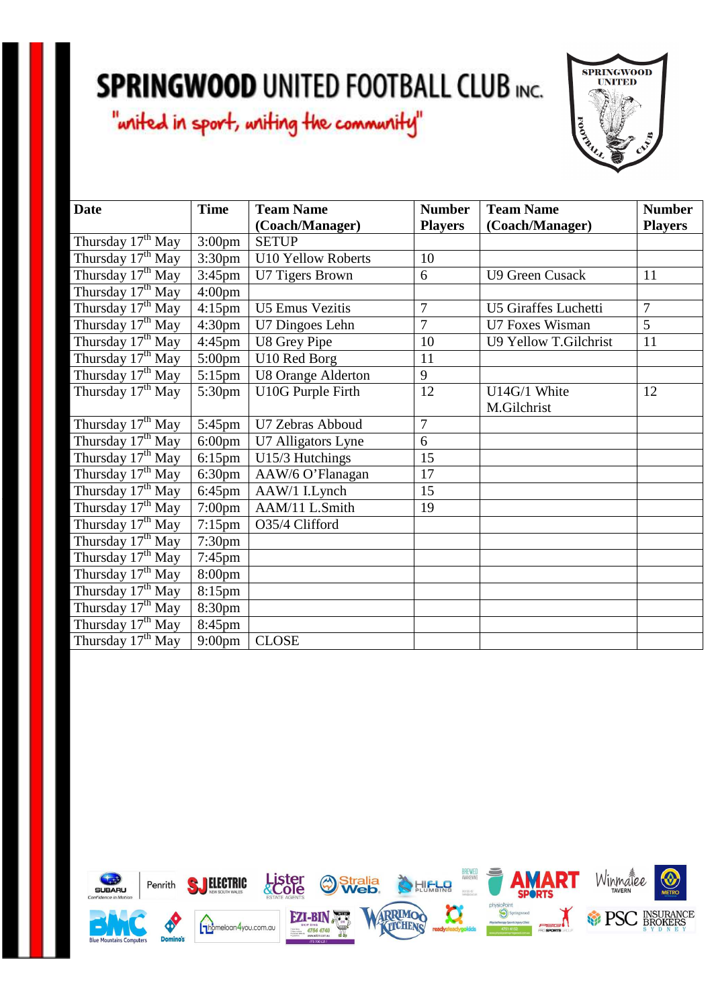

| <b>Date</b>                   | <b>Time</b>        | <b>Team Name</b>          | <b>Number</b>  | <b>Team Name</b>       | <b>Number</b>  |
|-------------------------------|--------------------|---------------------------|----------------|------------------------|----------------|
|                               |                    | (Coach/Manager)           | <b>Players</b> | (Coach/Manager)        | <b>Players</b> |
| Thursday 17 <sup>th</sup> May | 3:00 <sub>pm</sub> | <b>SETUP</b>              |                |                        |                |
| Thursday 17 <sup>th</sup> May | 3:30pm             | <b>U10 Yellow Roberts</b> | 10             |                        |                |
| Thursday 17 <sup>th</sup> May | $3:45$ pm          | U7 Tigers Brown           | 6              | <b>U9 Green Cusack</b> | 11             |
| Thursday 17 <sup>th</sup> May | 4:00 <sub>pm</sub> |                           |                |                        |                |
| Thursday $17th$ May           | $4:15$ pm          | <b>U5 Emus Vezitis</b>    | $\overline{7}$ | U5 Giraffes Luchetti   | $\overline{7}$ |
| Thursday 17 <sup>th</sup> May | 4:30 <sub>pm</sub> | U7 Dingoes Lehn           | $\overline{7}$ | U7 Foxes Wisman        | 5              |
| Thursday 17 <sup>th</sup> May | $4:45$ pm          | U8 Grey Pipe              | 10             | U9 Yellow T.Gilchrist  | 11             |
| Thursday $17th$ May           | $5:00 \text{pm}$   | U10 Red Borg              | 11             |                        |                |
| Thursday 17 <sup>th</sup> May | $5:15$ pm          | <b>U8 Orange Alderton</b> | 9              |                        |                |
| Thursday 17 <sup>th</sup> May | 5:30pm             | U10G Purple Firth         | 12             | U14G/1 White           | 12             |
|                               |                    |                           |                | M.Gilchrist            |                |
| Thursday $17th$ May           | $5:45$ pm          | U7 Zebras Abboud          | $\overline{7}$ |                        |                |
| Thursday 17 <sup>th</sup> May | $6:00$ pm          | U7 Alligators Lyne        | 6              |                        |                |
| Thursday 17 <sup>th</sup> May | $6:15$ pm          | U15/3 Hutchings           | 15             |                        |                |
| Thursday 17 <sup>th</sup> May | 6:30 <sub>pm</sub> | AAW/6 O'Flanagan          | 17             |                        |                |
| Thursday 17 <sup>th</sup> May | $6:45$ pm          | AAW/1 I.Lynch             | 15             |                        |                |
| Thursday 17 <sup>th</sup> May | $7:00$ pm          | AAM/11 L.Smith            | 19             |                        |                |
| Thursday 17 <sup>th</sup> May | $7:15$ pm          | O35/4 Clifford            |                |                        |                |
| Thursday 17 <sup>th</sup> May | 7:30 <sub>pm</sub> |                           |                |                        |                |
| Thursday 17 <sup>th</sup> May | $7:45$ pm          |                           |                |                        |                |
| Thursday 17 <sup>th</sup> May | 8:00pm             |                           |                |                        |                |
| Thursday $17th$ May           | 8:15pm             |                           |                |                        |                |
| Thursday 17 <sup>th</sup> May | 8:30pm             |                           |                |                        |                |
| Thursday 17 <sup>th</sup> May | 8:45pm             |                           |                |                        |                |
| Thursday $17^{th}$ May        | $9:00$ pm          | <b>CLOSE</b>              |                |                        |                |